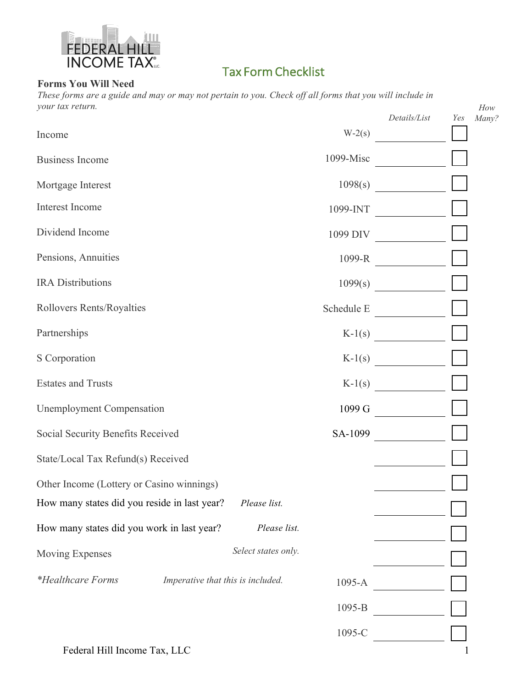

## Tax Form Checklist

## **Forms You Will Need**

*These forms are a guide and may or may not pertain to you. Check off all forms that you will include in your tax return.* 

| your tax return.                             |                                   |                     |            | Details/List                  | Yes | How<br>Many? |
|----------------------------------------------|-----------------------------------|---------------------|------------|-------------------------------|-----|--------------|
| Income                                       |                                   |                     | $W-2(s)$   |                               |     |              |
| <b>Business Income</b>                       |                                   |                     | 1099-Misc  |                               |     |              |
| Mortgage Interest                            |                                   |                     | 1098(s)    |                               |     |              |
| Interest Income                              |                                   |                     | 1099-INT   |                               |     |              |
| Dividend Income                              |                                   |                     |            | 1099 DIV                      |     |              |
| Pensions, Annuities                          |                                   |                     |            | 1099-R $\qquad \qquad \qquad$ |     |              |
| <b>IRA</b> Distributions                     |                                   |                     | 1099(s)    |                               |     |              |
| Rollovers Rents/Royalties                    |                                   |                     |            | Schedule E                    |     |              |
| Partnerships                                 |                                   |                     |            | $K-1(s)$                      |     |              |
| S Corporation                                |                                   |                     |            | $K-1(s)$                      |     |              |
| <b>Estates and Trusts</b>                    |                                   |                     | $K-1(s)$   | and the state of the state    |     |              |
| <b>Unemployment Compensation</b>             |                                   |                     | 1099 G     |                               |     |              |
| Social Security Benefits Received            |                                   |                     |            | SA-1099                       |     |              |
| State/Local Tax Refund(s) Received           |                                   |                     |            |                               |     |              |
| Other Income (Lottery or Casino winnings)    |                                   |                     |            |                               |     |              |
| How many states did you reside in last year? |                                   | Please list.        |            |                               |     |              |
| How many states did you work in last year?   |                                   | Please list.        |            |                               |     |              |
| Moving Expenses                              |                                   | Select states only. |            |                               |     |              |
| <i>*Healthcare Forms</i>                     | Imperative that this is included. |                     | $1095 - A$ |                               |     |              |
|                                              |                                   |                     | 1095-B     |                               |     |              |
|                                              |                                   |                     | 1095-C     |                               |     |              |
| Federal Hill Income Tax, LLC                 |                                   |                     |            |                               |     |              |